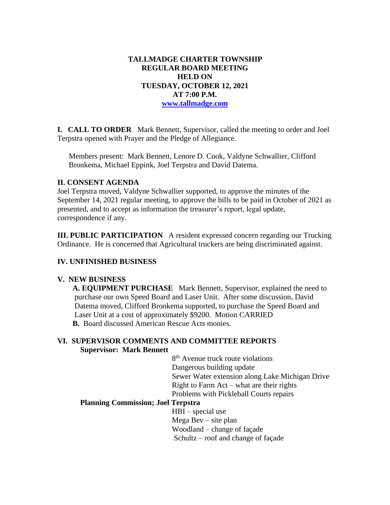# **TALLMADGE CHARTER TOWNSHIP REGULAR BOARD MEETING HELD ON TUESDAY, OCTOBER 12, 2021 AT 7:00 P.M. [www.tallmadge.com](http://www.tallmadge.com/)**

**I. CALL TO ORDER** Mark Bennett, Supervisor, called the meeting to order and Joel Terpstra opened with Prayer and the Pledge of Allegiance.

Members present: Mark Bennett, Lenore D. Cook, Valdyne Schwallier, Clifford Bronkema, Michael Eppink, Joel Terpstra and David Datema.

### **II. CONSENT AGENDA**

Joel Terpstra moved, Valdyne Schwallier supported, to approve the minutes of the September 14, 2021 regular meeting, to approve the bills to be paid in October of 2021 as presented, and to accept as information the treasurer's report, legal update, correspondence if any.

**III. PUBLIC PARTICIPATION** A resident expressed concern regarding our Trucking Ordinance. He is concerned that Agricultural truckers are being discriminated against.

# **IV. UNFINISHED BUSINESS**

### **V. NEW BUSINESS**

 **A. EQUIPMENT PURCHASE** Mark Bennett, Supervisor, explained the need to purchase our own Speed Board and Laser Unit. After some discussion, David Datema moved, Clifford Bronkema supported, to purchase the Speed Board and Laser Unit at a cost of approximately \$9200. Motion CARRIED **B.** Board discussed American Rescue Acts monies.

# **VI. SUPERVISOR COMMENTS AND COMMITTEE REPORTS Supervisor: Mark Bennett**

 8 8<sup>th</sup> Avenue truck route violations Dangerous building update Sewer Water extension along Lake Michigan Drive Right to Farm Act – what are their rights Problems with Pickleball Courts repairs

### **Planning Commission; Joel Terpstra**

 HBI – special use Mega Bev – site plan Woodland – change of façade Schultz – roof and change of façade